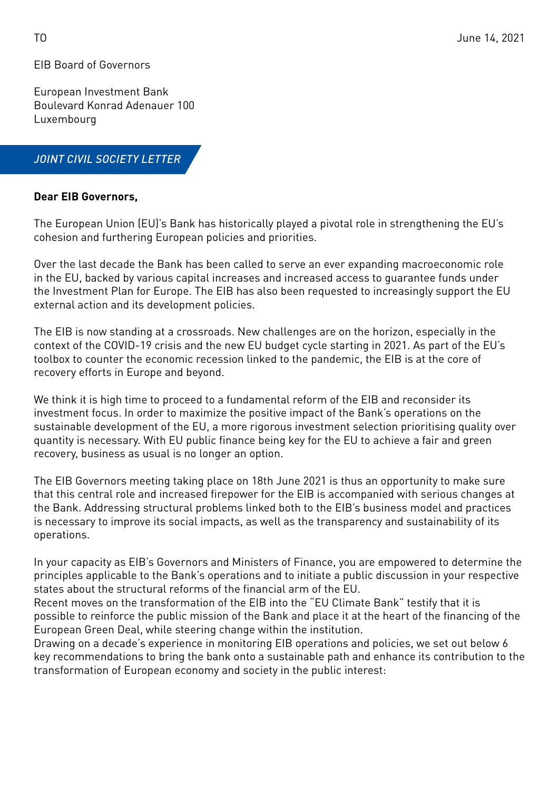EIB Board of Governors

European Investment Bank Boulevard Konrad Adenauer 100 Luxembourg

## *JOINT CIVIL SOCIETY LETTER*

### **Dear EIB Governors,**

The European Union (EU)'s Bank has historically played a pivotal role in strengthening the EU's cohesion and furthering European policies and priorities.

Over the last decade the Bank has been called to serve an ever expanding macroeconomic role in the EU, backed by various capital increases and increased access to guarantee funds under the Investment Plan for Europe. The EIB has also been requested to increasingly support the EU external action and its development policies.

The EIB is now standing at a crossroads. New challenges are on the horizon, especially in the context of the COVID-19 crisis and the new EU budget cycle starting in 2021. As part of the EU's toolbox to counter the economic recession linked to the pandemic, the EIB is at the core of recovery efforts in Europe and beyond.

We think it is high time to proceed to a fundamental reform of the EIB and reconsider its investment focus. In order to maximize the positive impact of the Bank's operations on the sustainable development of the EU, a more rigorous investment selection prioritising quality over quantity is necessary. With EU public finance being key for the EU to achieve a fair and green recovery, business as usual is no longer an option.

The EIB Governors meeting taking place on 18th June 2021 is thus an opportunity to make sure that this central role and increased firepower for the EIB is accompanied with serious changes at the Bank. Addressing structural problems linked both to the EIB's business model and practices is necessary to improve its social impacts, as well as the transparency and sustainability of its operations.

In your capacity as EIB's Governors and Ministers of Finance, you are empowered to determine the principles applicable to the Bank's operations and to initiate a public discussion in your respective states about the structural reforms of the financial arm of the EU.

Recent moves on the transformation of the EIB into the "EU Climate Bank" testify that it is possible to reinforce the public mission of the Bank and place it at the heart of the financing of the European Green Deal, while steering change within the institution.

Drawing on a decade's experience in monitoring EIB operations and policies, we set out below 6 key recommendations to bring the bank onto a sustainable path and enhance its contribution to the transformation of European economy and society in the public interest: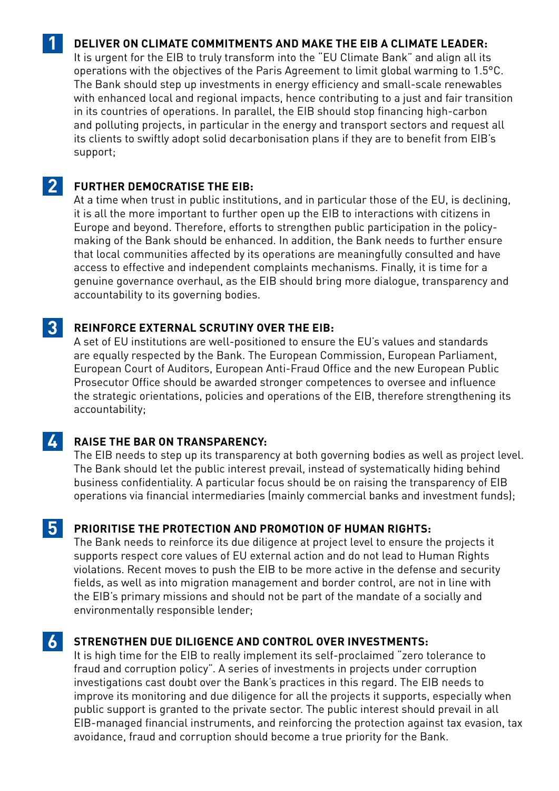# **DELIVER ON CLIMATE COMMITMENTS AND MAKE THE EIB A CLIMATE LEADER:**

It is urgent for the EIB to truly transform into the "EU Climate Bank" and align all its operations with the objectives of the Paris Agreement to limit global warming to 1.5°C. The Bank should step up investments in energy efficiency and small-scale renewables with enhanced local and regional impacts, hence contributing to a just and fair transition in its countries of operations. In parallel, the EIB should stop financing high-carbon and polluting projects, in particular in the energy and transport sectors and request all its clients to swiftly adopt solid decarbonisation plans if they are to benefit from EIB's support;

#### **FURTHER DEMOCRATISE THE EIB: 2**

**1**

At a time when trust in public institutions, and in particular those of the EU, is declining, it is all the more important to further open up the EIB to interactions with citizens in Europe and beyond. Therefore, efforts to strengthen public participation in the policymaking of the Bank should be enhanced. In addition, the Bank needs to further ensure that local communities affected by its operations are meaningfully consulted and have access to effective and independent complaints mechanisms. Finally, it is time for a genuine governance overhaul, as the EIB should bring more dialogue, transparency and accountability to its governing bodies.

#### **REINFORCE EXTERNAL SCRUTINY OVER THE EIB: 3**

A set of EU institutions are well-positioned to ensure the EU's values and standards are equally respected by the Bank. The European Commission, European Parliament, European Court of Auditors, European Anti-Fraud Office and the new European Public Prosecutor Office should be awarded stronger competences to oversee and influence the strategic orientations, policies and operations of the EIB, therefore strengthening its accountability;

#### **RAISE THE BAR ON TRANSPARENCY: 4**

The EIB needs to step up its transparency at both governing bodies as well as project level. The Bank should let the public interest prevail, instead of systematically hiding behind business confidentiality. A particular focus should be on raising the transparency of EIB operations via financial intermediaries (mainly commercial banks and investment funds);

### **PRIORITISE THE PROTECTION AND PROMOTION OF HUMAN RIGHTS: 5**

The Bank needs to reinforce its due diligence at project level to ensure the projects it supports respect core values of EU external action and do not lead to Human Rights violations. Recent moves to push the EIB to be more active in the defense and security fields, as well as into migration management and border control, are not in line with the EIB's primary missions and should not be part of the mandate of a socially and environmentally responsible lender;

#### **STRENGTHEN DUE DILIGENCE AND CONTROL OVER INVESTMENTS: 6**

It is high time for the EIB to really implement its self-proclaimed "zero tolerance to fraud and corruption policy". A series of investments in projects under corruption investigations cast doubt over the Bank's practices in this regard. The EIB needs to improve its monitoring and due diligence for all the projects it supports, especially when public support is granted to the private sector. The public interest should prevail in all EIB-managed financial instruments, and reinforcing the protection against tax evasion, tax avoidance, fraud and corruption should become a true priority for the Bank.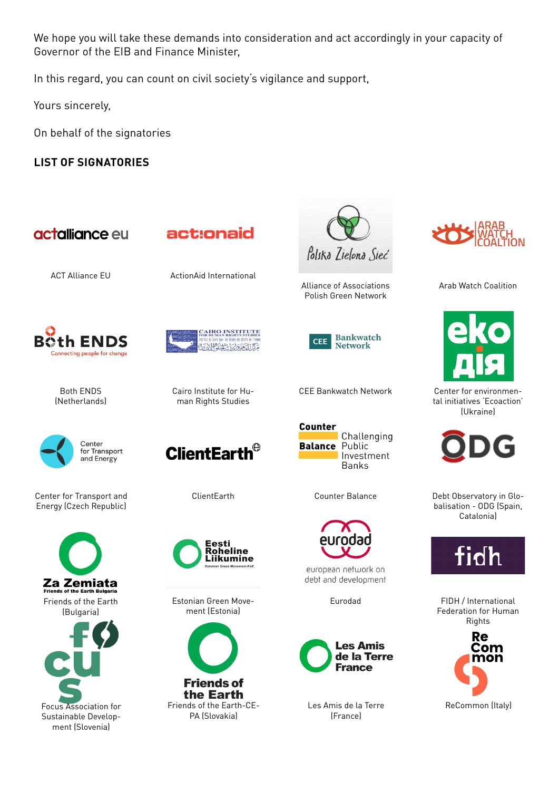We hope you will take these demands into consideration and act accordingly in your capacity of Governor of the EIB and Finance Minister,

In this regard, you can count on civil society's vigilance and support,

Yours sincerely,

On behalf of the signatories

**LIST OF SIGNATORIES**





Arab Watch Coalition



Center for environmental initiatives 'Ecoaction' (Ukraine)



Debt Observatory in Globalisation - ODG (Spain, Catalonia)



FIDH / International Federation for Human Rights





CEE Bankwatch Network



european network on debt and development